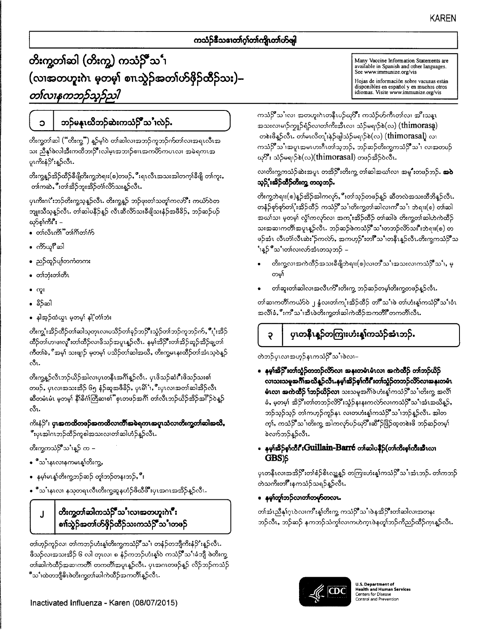### ကသံဉ်နီသဒၢတၢ်ဂွါတ၊်ကျိုးတ၊်ဟ်ဖျါ

# တိးကွတ<sup>္</sup>ဆါ (တိးက္မ) ကသံဉိ်ဳသ<sup>်</sup>၊ (လၢအတဟူးဂဲၤ မှတမှ) စၢၤသွဲဉ်အတၢ်ဟ်ဖိုဉ်ထိဉ်သး)– တၤ်လၢနကဘဉ်သူဉ်သုါ

Ć

## ဘဉ်မနူးယိဘဉ်ဆဲးကသံဉ်ိဳသ ၊လဲဉ်.

တိးကွတ၊်ဆါ ("တိးကွ") န္5မ္1၀ တ၊်ဆါလ၊အဘဉ်ကူဘဉ်က်တ၊်လ၊အရၤလီၤအ သး ညီနှုဖ်လါအီးကထိဘၤာိုးလါမ္းအဘၤဉ်စၢၤအကဟိကပၤလ၊ အမဲရကၤအ ပူးကိုးနံ့ $S$ ်းနူဉ်လီး.

တိးကွန္ဥ်ဆိဉ်ထိဉ်ခ်ီဖိုုတိးကွဘဲရၢး(စ)တဖဉ်ႇိဳးရၤလီၤအသးအါတက္၊်ခ်ီဖိုု တ၊်ကူးႇ တ၊်ကဆဲ,ိဳးတ၊်အိဉ်ဘူးအိဉ်တံ၊လိာ်သးနဉ်လီၤ.

ပုၤကိႏၵၤိ'းဘဉ်တိႏက္ဖသူန္ဥာလီၤ. တိႏက္ဖန္ဥ္က် ဘဉ်ဖုးတၤ်သတူၤ်ကလာိဳး ကယံာ်ဝဲတ ဘျုးသီသုန္ဉာ်လီၤ. တၢ်ဆါပနီဉ်န္ဉာ် လီၤဆီလိာ်သးခ်ီဖျိသးနံဉ်အဖီခိဉ်, ဘဉ်ဆဉ်ပဉ် ယှာ်စု၊်ကီး -

- တ၊်လိၤကိ၊ိတ်၊ဂိၢိတ၊်က်
- ကိ‱ျိဳဆါ
- ညဉ်ထူဉ်ပျံတကံတကး
- တါဘုံးတါတီၤ
- ကူး
- မိ>်ဆါ
- နါအုဉ်ထံယွၤ မှတမှ၊် နါ့်တံၤ်ား

တိးကျွှံးအိဉ်ထိဉ်တ၊်ဆါသုတုၤလၢပသိဉ်တ၊်ခုဉ်ဘ**ို**းသွဲဉ်တ၊်ဘဉ်ကူဘဉ်က်**, ိိ**ုးအိဉ် ထိဉ်တ၊်ဟ၊ဖ၊လူိဳးတ၊်ထိဉ်လ၊ဖိသဉ်အပူၤန္ဉာလီၤႉ နမ္၊်အိဉ်ိဳးတ၊်အိဉ်ဆူဉ်အိဉ်ချတ၊် ကီတါခဲႇိအမ္၊် သးဖျာဉ် မှတမ္၊် ပသိဉ်တ၊်ဆါအယိႇ တိးကွမၤနးထိဉ်တ၊်အံၤသုဝဲန္ဉဉ် ನೆ.

တိးကွန္ဥ်လီးဘဉ်ယိဉ်အါလ၊ပုၤတနီးအဂိၢိန္ဥ်လီး. ပုၤဖိသှ်ဆံးးိဳးဖိသှ်သးစ၊် တဖဉ်, ပုၤလၢအသးအိဉ် ၆၅ နံဉ်ဆူအဖီခိဉ်, ပုၤမိ၊်ၫ,ဳိးပုၤလၢအတၢ်ဆါအိဉ်လီၤ ဆီတမံၤမံၤ မှတမှ\ နိ\ိခိင်္ဂါတြီဆ၊စ\ိႆဳစုၤတဖဉ်အဂိ\ တၤ်လီၤဘဉ်ယိဉ်အိဉ်အ $\mathbb{P}$ ဉ်ဝဲန္ဉဉ် ಯೆ.

#### ကိ**းနံ<sup>လှ</sup>း ပုၤၶာကထိတစဉ်ဓာကထိလာက်ိဳၤဓာဓဲရကၤၶာပူသံလာတိးကွတၢ်ဆါအသိ**, ိဳးပုၤအါဂၤဘဉ်ထိဉ်ကူစါအသးလ၊တ၊်ဆါဟံဉ်န္ဉာ်လီၤ.

တိးက္ဖကသံဉိ်ဳသ ၤန္ဉာ် က –

- ီသႆၤနၤလၢနကမၤန္)်တိဴးကွႇ
- နမ္•ါမၤန္၊ိတိိးက္ပဘ္၄်ဆ္၌ တူ၊်ဘ**ဉ်တနးဘ**ဉ်ႇိဳး
- ီသႛ၊နၤလ၊ နသုတရၤလီ၊တိးက္ဖဆူနဟံဉ်ဖိယီဖိံဳးပုၤအဂၤအအိဉ်န္ဉာ်လီၤ.

တိးကွတၢ်ဆါကသံဉ်ိဳသႛၤလၢအတဟူးဂဲၤိဳး  $\mathbf{l}$ စၢၢ်သွဲဉ်အတၢ်ဟ်ဖိုဉ်ထိဉ်သးကသံဉ်ိဳသ ံ၊တဖဉ်

တ၊်ဟုဉ်ကူဉ်လ၊ တ၊်ကဘဉ်ဟံးနှုတ်ိးကွကသံဉ်ိဳသ ၊ တနံဉ်တဘျီကိးနံဉ်`းန္ဉာလီၤ ဖိသဉ်လ၊အသးအိဉ် ၆ လါ တုၤလ၊ ၈ နံဉ်ကဘဉ်ဟံးန့၊်ဝဲ ကသံဉ်ိဳသ ်္၊ခံဘျီ ဖဲတီးကွ့ တ၊်ဆါကဲထိဉ်အဆၢကတိံ၊ တကတိၢ်အပူးနူဉ်လီး. ပုၤအဂၤတဖဉ်နူဉ် လိဉ်ဘဉ်ကသံဉ် ိဳသင်္ဂထဲတဘျိဓိၤဖဲတိးကွတ၊်ဆါကဲထိဉ်အကတိၢ်နူဉ်လီၤ.

Many Vaccine Information Statements are available in Spanish and other languages.<br>See www.immunize.org/vis

Hojas de información sobre vacunas están disponibles en español y en muchos otros<br>idiomas. Visite www.immunize.org/vis

ကသံဉ်ိဳသ ၊လ၊ အတဟူးဂဲၤတနီၤပဉ်ဃှာိဳး ကသံဉ်ဟ်ကီၤတ၊်လ၊ အိဳးသန္ၤ အသးလ၊မၢဉ်ကျုဉ်ရံဉ်လ၊တ၊်ကိုးအီးလ၊ သံဉ်မရၢဉ်စဲ(လ) (thimorasa) တစ်းဖိန္5လီး. တ၊်မၤလိတ္မႉးနဲ5်ဖျါသံ5်မရၢ5်စဲ(လ) (thimorasal) လ၊ ကသံဉ်ိဳသႛ၊အပူ၊အမၤဟးဂီၤတၢဴသ္ဘာဉ်ႇ ဘဉ်ဆဉ်တိးက္ဖကသံဉ်ိဳသႛ၊ လၢအတပဉ် ဃု သံဉ်မရၢဉ်စဲ(လ)(thimorasal) တဖဉ်အိဉ်ဝဲလီး.

လ၊တိႏက္ဖကသံဉ်ဆဲးအပူၤ တအို႒ိဳးတိးကွ တ၊်ဆါအဃၤ်လ၊ အမှု ီးတဖဉ်ဘဉ်**. အ၀ဲ** သူဉ်'းဆိုဉ်ထိံဉ်တီးကွ တသူဘဉ်.

တိးကွဘဲရၢး(စ)န္3်အိ>်အါကလုာ်ႇိဳးတၢဴသုဉ်တဖဉ်န္5် ဆီတလဲအသးထိဘိန္ဥာ်လီၤ တနံဉ်စှာ်စှာ်တ{ီးအိဉ်ထိဉ် ကသံဉ်ိဳသႛ၊တိးက္ဖတ္၊်ဆါလၢကိဳသႛ၊ ဘဲရၢး(စ) တၢ်ဆါ အဃါသ၊ မှတမှါ လွှဲါကလှာ်လ၊ အက္ခၨးအိဉ်ထိဉ် တါဆါဖဲ တိုးကွတ်ဆါဟဲကဲထိဉ် သးအဆၢကတိၢိအပူၤန္ဥလီၤႉ ဘၙ်ဆၙာ်ဖကသံဥိံဳသ ၤ်တဘၙာလိာ်သးဳိးဘဲရၢး(စ္) တ ဖဉ်အံၤ လီၤတံၤ်လီၤဆဲႏ်ဴာကလ်ာ်, အကဟ္၄်ံးတါဳိသင်္ဂတနီၤန္ဥလီၤ.တိးက္ဖကသံဉ်ိဳသ ်ၫန္<sup>S တ</sup>သင်္ဂါတ၊လာအံၤတသ္မဘ**ာ်** –

- တိးကွယ၊အကဲထိဉ်အသးခ်ိဖျိဘဲရၢး(စ)လ၊တိံသင်္ၫအသးလ၊ကသံဉ်ိဳသင်္ဂ, မ္ တမှါ
- တါဆူးတါဆါလ၊အလီၤက်ိဳးတိးကွ ဘဉ်ဆဉ်တမ္၊်တိးကွတဖဉ်န္ဉာ်လီၤ.

တါဆ၊ကတိႆါကယံာ်ဝဲ ၂ နွံလ၊တါက္ပႆးအိ့ဉ်ထိဉ် တ၊ိဳသင်္၊ဖဲ တါဟုံးန္၊်ကသံဉိဳသင်္၊ဝံၤ အလိၢဴခဲႇိဳးကိဳ သ1်အီၤဖဲတိုးက္မွတ္ပါဆါကဲထိဉ်အကတိို တကတိၢိလီၤ.

## ပုၤတန်ိဳၤန္ဥ်တကြူးဟုံးန္၊်ကသံဥ်အံၤဘဉ်ႉ

တဲဘဉ်ပုၤလၢအဟ္5်နၤကသံဉ်ိဳသ 'ၢဖဲလၢ–

Ş

ေနမှၢ်ဆိြိဳးတၢ်သွံဉ်တဘဉ်လိာ်လာ အနုးတမံၤမံၤလ၊ အကဲထိဉ် တၢ်ဘဉ်ယိဉ် လာသးသမူအင်္ဂါအထိန္၌လီး.နမ္န<sup>ု</sup>ဆိဉ်စု၊်ကီး ီးတာ်သွံ့ဉ်တဘဉ်လိာ်လာအနုးတမံၤ **မံၤလ၊ အကဲထိဉ် ႞ဘဉ်ယိဉ်လ၊** သးသမူအဂိၢိဖဲဟံးန္၊်ကသံဉ်ိဳသႛ၊တိးက္မ္ အလိၢ ခဲ, မှတမှ၊် အိဉ်ိဳးတ၊်တဘဉ်လိာိဳးသွံဉ်နးနးကလ်ာ်လ၊ကသံဉ်ိဳသင်္ဂအံၤအယိန္ဉာ်, ဘဉ်သုဉ်သုဉ် တ၊်ကဟုဉ်ကူဉ်နၤ လ၊တဟံးန္၊်ကသံဉ်ိဳသႛ၊ဘဉ်န္ဉ်ာလီၤႉ အါတ က္)်, ကသံဉိ်ဳသႛ၊တိးက္မ ့အါကလုာ်ပဉ်ဃု႒ိဳးဆီိႆၣဖြိြာထုတစဲးဖိ ဘၣ်ဆဉ်တမ္<sup>ု</sup> ခဲလက်ဘဉ်နဉ်လီး.

#### ေနမှာ်ဆိုခ်စွာကြီး ပြောပါးပြုသော မြောက် တစ်ဆါပန်ခို(တာကြီးစွာကြီးဆီးလာ GBS)\$

ပုၤတနိၤလၢအအိ**ုိး**တၢဴစံဉ်စိၤလ္နွုန္၌ တကြးဟႆးန္ၤ်ကသံဉိ်ိဳသႛၤအံၤဘဉ်ႉ တၢ်ကဘဉ် တဲသကိဳးတ၊ိဳးနကသံဉ်သရဉ်နူဉ်လီၤႉ

• နမှုတြာဘဉ်လာတာ်တမှာ်တလာ.

တါအံၤညီနှါဂ္ၤဝဲလၢက**ိ:**န္၊်တိးက္ဇ္က ကသံဉ်ိဳသႛၢဖဲနအိဉ်ိဳးတါဆါလၢအတနး ဘဉ်လီၤ, ဘဉ်ဆဉ် နကဘဉ်သံကွၤ်လ၊ကဟဲက္ၤဖဲနတူၤ်ဘဉ်ကိညဉ်ထိဉ်က္ၤန္နာ်လီၤ.